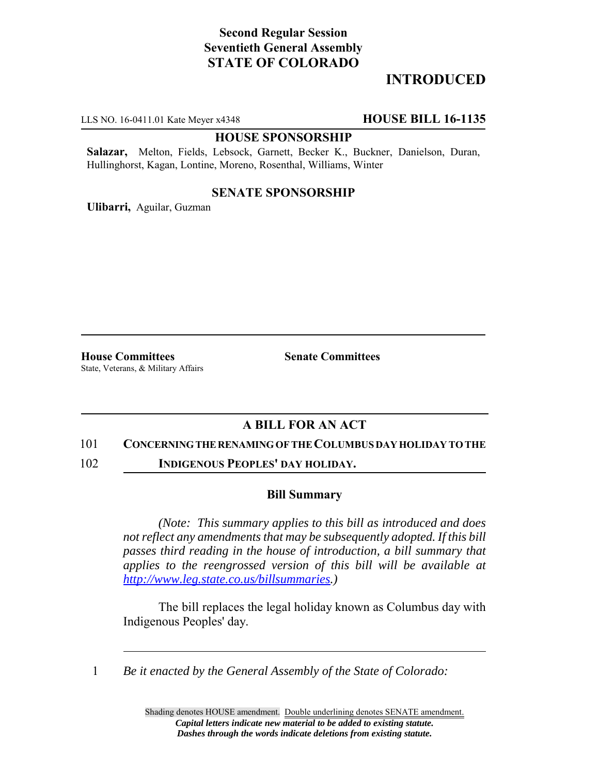# **Second Regular Session Seventieth General Assembly STATE OF COLORADO**

# **INTRODUCED**

LLS NO. 16-0411.01 Kate Meyer x4348 **HOUSE BILL 16-1135**

#### **HOUSE SPONSORSHIP**

**Salazar,** Melton, Fields, Lebsock, Garnett, Becker K., Buckner, Danielson, Duran, Hullinghorst, Kagan, Lontine, Moreno, Rosenthal, Williams, Winter

### **SENATE SPONSORSHIP**

**Ulibarri,** Aguilar, Guzman

**House Committees Senate Committees** State, Veterans, & Military Affairs

## **A BILL FOR AN ACT**

#### 101 **CONCERNING THE RENAMING OF THE COLUMBUS DAY HOLIDAY TO THE**

102 **INDIGENOUS PEOPLES' DAY HOLIDAY.**

### **Bill Summary**

*(Note: This summary applies to this bill as introduced and does not reflect any amendments that may be subsequently adopted. If this bill passes third reading in the house of introduction, a bill summary that applies to the reengrossed version of this bill will be available at http://www.leg.state.co.us/billsummaries.)*

The bill replaces the legal holiday known as Columbus day with Indigenous Peoples' day.

1 *Be it enacted by the General Assembly of the State of Colorado:*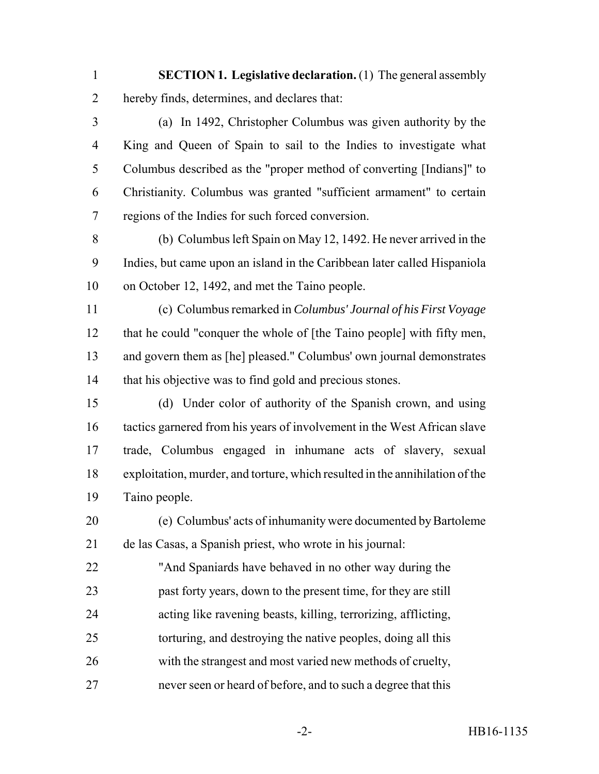**SECTION 1. Legislative declaration.** (1) The general assembly hereby finds, determines, and declares that:

 (a) In 1492, Christopher Columbus was given authority by the King and Queen of Spain to sail to the Indies to investigate what Columbus described as the "proper method of converting [Indians]" to Christianity. Columbus was granted "sufficient armament" to certain regions of the Indies for such forced conversion.

 (b) Columbus left Spain on May 12, 1492. He never arrived in the Indies, but came upon an island in the Caribbean later called Hispaniola on October 12, 1492, and met the Taino people.

 (c) Columbus remarked in *Columbus' Journal of his First Voyage* that he could "conquer the whole of [the Taino people] with fifty men, and govern them as [he] pleased." Columbus' own journal demonstrates that his objective was to find gold and precious stones.

 (d) Under color of authority of the Spanish crown, and using tactics garnered from his years of involvement in the West African slave trade, Columbus engaged in inhumane acts of slavery, sexual exploitation, murder, and torture, which resulted in the annihilation of the Taino people.

 (e) Columbus' acts of inhumanity were documented by Bartoleme de las Casas, a Spanish priest, who wrote in his journal:

 "And Spaniards have behaved in no other way during the past forty years, down to the present time, for they are still acting like ravening beasts, killing, terrorizing, afflicting, torturing, and destroying the native peoples, doing all this with the strangest and most varied new methods of cruelty, never seen or heard of before, and to such a degree that this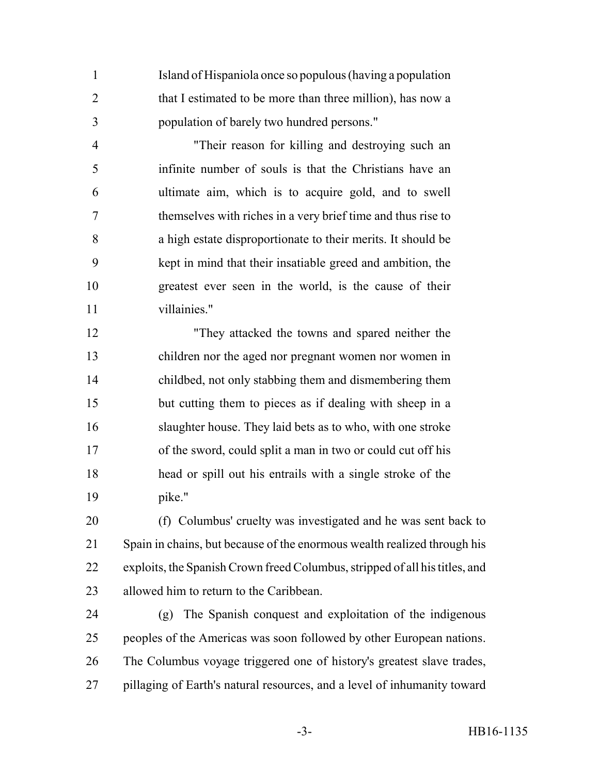Island of Hispaniola once so populous (having a population 2 that I estimated to be more than three million), has now a population of barely two hundred persons."

 "Their reason for killing and destroying such an infinite number of souls is that the Christians have an ultimate aim, which is to acquire gold, and to swell themselves with riches in a very brief time and thus rise to a high estate disproportionate to their merits. It should be kept in mind that their insatiable greed and ambition, the greatest ever seen in the world, is the cause of their villainies."

 "They attacked the towns and spared neither the children nor the aged nor pregnant women nor women in childbed, not only stabbing them and dismembering them but cutting them to pieces as if dealing with sheep in a slaughter house. They laid bets as to who, with one stroke of the sword, could split a man in two or could cut off his head or spill out his entrails with a single stroke of the pike."

 (f) Columbus' cruelty was investigated and he was sent back to Spain in chains, but because of the enormous wealth realized through his exploits, the Spanish Crown freed Columbus, stripped of all his titles, and allowed him to return to the Caribbean.

 (g) The Spanish conquest and exploitation of the indigenous peoples of the Americas was soon followed by other European nations. The Columbus voyage triggered one of history's greatest slave trades, pillaging of Earth's natural resources, and a level of inhumanity toward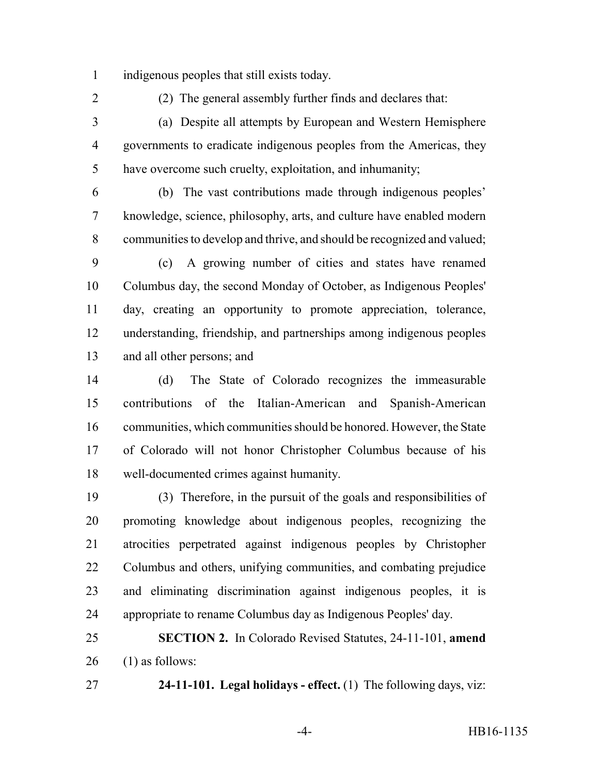indigenous peoples that still exists today.

(2) The general assembly further finds and declares that:

 (a) Despite all attempts by European and Western Hemisphere governments to eradicate indigenous peoples from the Americas, they have overcome such cruelty, exploitation, and inhumanity;

 (b) The vast contributions made through indigenous peoples' knowledge, science, philosophy, arts, and culture have enabled modern communities to develop and thrive, and should be recognized and valued;

 (c) A growing number of cities and states have renamed Columbus day, the second Monday of October, as Indigenous Peoples' day, creating an opportunity to promote appreciation, tolerance, understanding, friendship, and partnerships among indigenous peoples and all other persons; and

 (d) The State of Colorado recognizes the immeasurable contributions of the Italian-American and Spanish-American communities, which communities should be honored. However, the State of Colorado will not honor Christopher Columbus because of his well-documented crimes against humanity.

 (3) Therefore, in the pursuit of the goals and responsibilities of promoting knowledge about indigenous peoples, recognizing the atrocities perpetrated against indigenous peoples by Christopher Columbus and others, unifying communities, and combating prejudice and eliminating discrimination against indigenous peoples, it is appropriate to rename Columbus day as Indigenous Peoples' day.

 **SECTION 2.** In Colorado Revised Statutes, 24-11-101, **amend** (1) as follows:

**24-11-101. Legal holidays - effect.** (1) The following days, viz: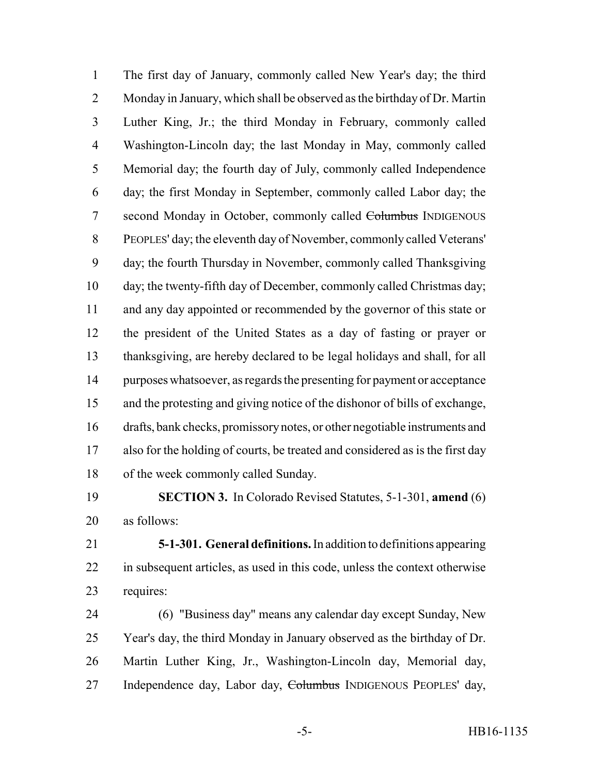The first day of January, commonly called New Year's day; the third Monday in January, which shall be observed as the birthday of Dr. Martin Luther King, Jr.; the third Monday in February, commonly called Washington-Lincoln day; the last Monday in May, commonly called Memorial day; the fourth day of July, commonly called Independence day; the first Monday in September, commonly called Labor day; the 7 second Monday in October, commonly called Columbus INDIGENOUS PEOPLES' day; the eleventh day of November, commonly called Veterans' day; the fourth Thursday in November, commonly called Thanksgiving day; the twenty-fifth day of December, commonly called Christmas day; and any day appointed or recommended by the governor of this state or the president of the United States as a day of fasting or prayer or thanksgiving, are hereby declared to be legal holidays and shall, for all purposes whatsoever, as regards the presenting for payment or acceptance and the protesting and giving notice of the dishonor of bills of exchange, drafts, bank checks, promissory notes, or other negotiable instruments and also for the holding of courts, be treated and considered as is the first day of the week commonly called Sunday.

 **SECTION 3.** In Colorado Revised Statutes, 5-1-301, **amend** (6) as follows:

 **5-1-301. General definitions.** In addition to definitions appearing in subsequent articles, as used in this code, unless the context otherwise requires:

 (6) "Business day" means any calendar day except Sunday, New Year's day, the third Monday in January observed as the birthday of Dr. Martin Luther King, Jr., Washington-Lincoln day, Memorial day, 27 Independence day, Labor day, Columbus INDIGENOUS PEOPLES' day,